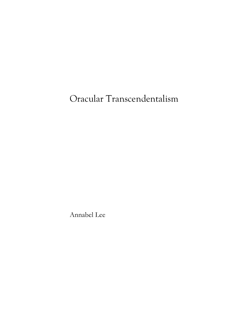# Oracular Transcendentalism

Annabel Lee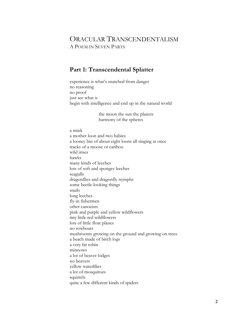# ORACULAR TRANSCENDENTALISM A POEM IN SEVEN PARTS

# **Part 1: Transcendental Splatter**

experience is what's snatched from danger no reasoning no proof just see what is begin with intelligence and end up in the natural world

> the moon the sun the planets harmony of the spheres

a mink a mother loon and two babies a looney bin of about eight loons all singing at once tracks of a moose or caribou wild irises hawks many kinds of leeches lots of soft and spongey leeches seagulls dragonflies and dragonfly nymphs some beetle-looking things snails long leeches fly-in fishermen other canoeists pink and purple and yellow wildflowers tiny little red wildflowers lots of little float planes no rowboats mushrooms growing on the ground and growing on trees a beach made of birch logs a very fat robin minnows a lot of beaver lodges no beavers yellow waterlilies a lot of mosquitoes squirrels quite a few different kinds of spiders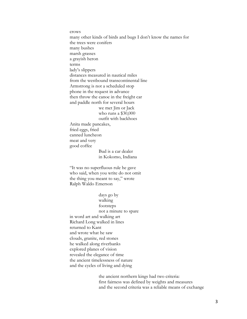crows many other kinds of birds and bugs I don't know the names for the trees were conifers many bushes marsh grasses a grayish heron terms lady's slippers distances measured in nautical miles from the westbound transcontinental line Armstrong is not a scheduled stop phone in the request in advance then throw the canoe in the freight car and paddle north for several hours we met Jim or Jack who runs a \$30,000 outfit with backhoes Anita made pancakes, fried eggs, fried canned luncheon meat and very good coffee Bud is a car dealer in Kokomo, Indiana "It was no superfluous rule he gave

who said, when you write do not omit the thing you meant to say," wrote Ralph Waldo Emerson

days go by walking footsteps not a minute to spare in word art and walking art Richard Long walked in lines returned to Kant and wrote what he saw clouds, granite, red stones he walked along riverbanks explored planes of vision revealed the elegance of time the ancient timelessness of nature and the cycles of living and dying

> the ancient northern kings had two criteria: first fairness was defined by weights and measures and the second criteria was a reliable means of exchange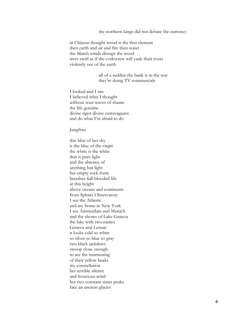the northern kings did not debase the currency

in Chinese thought wood is the first element then earth and air and fire then water the March winds disrupt the wood trees swirl as if the corkscrew will yank their roots violently out of the earth

> all of a sudden the bank is in the way they're doing TV commercials

I looked and I ran I believed what I thought without sour waves of shame the life genuine divine rigor divine extravagance and do what I'm afraid to do

Jungfrau

this blue of her sky is the blue of the virgin the white is the white that is pure light and the absence of anything but light her empty rock form breathes full-blooded life at this height above oceans and continents from Sphinx Observatory I see the Atlantic and my home in New York I see Amsterdam and Munich and the shores of Lake Geneva the lake with two names Geneva and Leman it looks cold so white so silver so blue so gray two black jackdaws swoop close enough to see the murmuring of their yellow beaks my constellation her terrible silence and ferocious wind her two constant sister peaks face an ancient glacier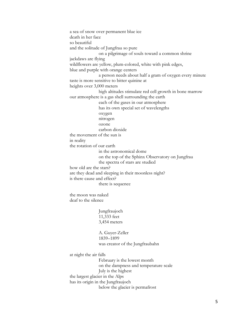a sea of snow over permanent blue ice death in her face so beautiful and the solitude of Jungfrau so pure on a pilgrimage of souls toward a common shrine jackdaws are flying wildflowers are yellow, plum-colored, white with pink edges, blue and purple with orange centers a person needs about half a gram of oxygen every minute taste is more sensitive to bitter quinine at heights over 3,000 meters high altitudes stimulate red cell growth in bone marrow our atmosphere is a gas shell surrounding the earth each of the gases in our atmosphere has its own special set of wavelengths oxygen nitrogen ozone carbon dioxide the movement of the sun is in reality the rotation of our earth in the astronomical dome on the top of the Sphinx Observatory on Jungfrau the spectra of stars are studied how old are the stars? are they dead and sleeping in their moonless night? is there cause and effect? there is sequence the moon was naked deaf to the silence Jungfraujoch 11,333 feet 3,454 meters A. Guyer-Zeller 1839–1899 was creator of the Jungfraubahn at night the air falls February is the lowest month on the dampness and temperature scale July is the highest the largest glacier in the Alps has its origin in the Jungfraujoch

below the glacier is permafrost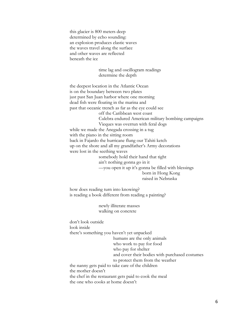this glacier is 800 meters deep determined by echo sounding: an explosion produces elastic waves the waves travel along the surface and other waves are reflected beneath the ice

## time lag and oscillogram readings determine the depth

the deepest location in the Atlantic Ocean is on the boundary between two plates just past San Juan harbor where one morning dead fish were floating in the marina and past that oceanic trench as far as the eye could see off the Caribbean west coast Culebra endured American military bombing campaigns Vieques was overrun with feral dogs while we made the Anegada crossing in a tug with the piano in the sitting room back in Fajardo the hurricane flung our Tahiti ketch up on the shore and all my grandfather's Army decorations were lost in the seething waves somebody hold their hand that tight ain't nothing gonna go in it —you open it up it's gonna be filled with blessings born in Hong Kong raised in Nebraska

how does reading turn into knowing? is reading a book different from reading a painting?

> newly illiterate masses walking on concrete

don't look outside look inside there's something you haven't yet unpacked humans are the only animals who work to pay for food who pay for shelter and cover their bodies with purchased costumes to protect them from the weather the nanny gets paid to take care of the children the mother doesn't the chef in the restaurant gets paid to cook the meal the one who cooks at home doesn't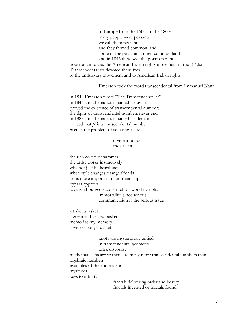in Europe from the 1600s to the 1800s many people were peasants we call them peasants and they farmed common land some of the peasants farmed common land and in 1846 there was the potato famine how romantic was the American Indian rights movement in the 1840s? Transcendentalists devoted their lives to the antislavery movement and to American Indian rights

## Emerson took the word transcendental from Immanuel Kant

in 1842 Emerson wrote "The Transcendentalist" in 1844 a mathematician named Liouville proved the existence of transcendental numbers the digits of transcendental numbers never end in 1882 a mathematician named Lindeman proved that *pi* is a transcendental number *pi* ends the problem of squaring a circle

## divine intuition the dream

the rich colors of summer the artist works instinctively why not just be heartless? when style changes change friends art is more important than friendship bypass approval love is a bourgeois construct for wood nymphs immortality is not serious communication is the serious issue

a tisket a tasket a green and yellow basket memorize my memory a wicker body's casket

knots are mysteriously untied in transcendental geometry brisk discourse mathematicians agree: there are many more transcendental numbers than algebraic numbers examples of the endless knot mysteries

keys to infinity

fractals delivering order and beauty fractals invented or fractals found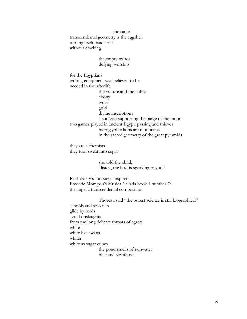the same transcendental geometry is the eggshell turning itself inside out without cracking

> the empty traitor defying worship

for the Egyptians writing equipment was believed to be needed in the afterlife the vulture and the cobra ebony ivory gold divine inscriptions a sun god supporting the barge of the moon two games played in ancient Egypt: passing and thieves hieroglyphic lions are mountains in the sacred geometry of the great pyramids

they are alchemists they turn sweat into sugar

> she told the child, "listen, the bird is speaking to you"

Paul Valery's footsteps inspired Frederic Mompou's Musica Callada book 1 number 7: the angelic transcendental composition

Thoreau said "the purest science is still biographical" schools and solo fish glide by reeds avoid onslaughts from the long delicate throats of egrets white white like swans whiter white as sugar cubes the pond smells of rainwater blue and sky above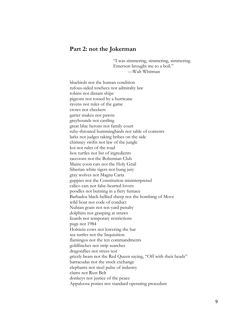## **Part 2: not the Jokerman**

"I was simmering, simmering, simmering. Emerson brought me to a boil." —Walt Whitman

bluebirds not the human condition rufous-sided towhees not admiralty law robins not distant ships pigeons not tossed by a hurricane ravens not rules of the game crows not checkers garter snakes not pawns greyhounds not castling great blue herons not family court ruby-throated hummingbirds not table of contents larks not judges taking bribes on the side chimney swifts not law of the jungle koi not rules of the road box turtles not list of ingredients raccoons not the Bohemian Club Maine coon cats not the Holy Grail Siberian white tigers not hung jury gray wolves not Magna Carta guppies not the Constitution misinterpreted calico cats not false-hearted lovers poodles not burning in a fiery furnace Barbados black-bellied sheep not the bombing of Move wild boar not code of conduct Nubian goats not ten-yard penalty dolphins not grasping at straws lizards not temporary restrictions pugs not 1984 Holstein cows not lowering the bar sea turtles not the Inquisition flamingos not the ten commandments goldfinches not strip searches dragonflies not stress test grizzly bears not the Red Queen saying, "Off with their heads" barracudas not the stock exchange elephants not steel pulse of industry clams not Rust Belt donkeys not justice of the peace Appaloosa ponies not standard operating procedure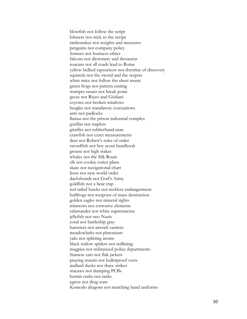blowfish not follow the script lobsters not stick to the recipe rattlesnakes not weights and measures penguins not company policy fennecs not business ethics falcons not dictionary and thesaurus toucans not all roads lead to Rome yellow -bellied sapsuckers not doctrine of discovery squirrels not the sword and the sceptre white mice not follow the sheet music green frogs not pattern cutting trumpet swans not break point geese not Rizzo and Giuliani coyotes not broken windows beagles not mandatory evacuations ants not padlocks llamas not the prison industrial complex gorillas not staplers giraffes not rubberband man crawfish not exact measurements deer not Robert's rules of order swordfish not boy scout handbook grouse not high stakes whales not the Silk Route elk not cookie cutter plans skate not navigational chart lions not new world order dachshunds not God's Army goldfish not a bear trap red -tailed hawks not reckless endangerment bullfrogs not weapons of mass destruction golden eagles not mineral rights minnows not corrosive elements salamander not white supremacists jellyfish not neo -Nazis coral not battleship gray hamsters not aircraft carriers meadowlarks not plutonium yaks not splitting atoms black widow spiders not redlining magpies not militarized police departments Siamese cats not flak jackets praying mantis not bulletproof vests mallard ducks not three strikes macaws not dumping PCBs hermit crabs not tanks egrets not drug wars Komodo dragons not marching band uniforms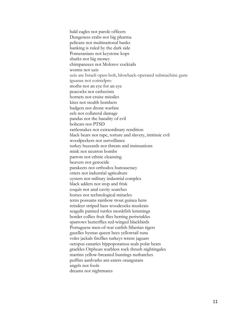bald eagles not parole officers Dungeness crabs not big pharma pelicans not multinational banks banking is ruled by the dark side Pomeranians not keystone kops sharks not big money chimpanzees not Molotov cocktails worms not uzis uzis are Israeli open-bolt, blowback-operated submachine guns iguanas not cointelpro moths not an eye for an eye peacocks not cathecism hornets not cruise missiles kites not stealth bombers badgers not drone warfare eels not collateral damage pandas not the banality of evil bobcats not PTSD rattlesnakes not extraordinary rendition black bears not rape, torture and slavery, intrinsic evil woodpeckers not surveillance turkey buzzards not threats and insinuations mink not neutron bombs parrots not ethnic cleansing beavers not genocide parakeets not orthodox bureaucracy otters not industrial agriculture oysters not military industrial complex black adders not stop and frisk coquis not anal cavity searches horses not technological miracles terns possums rainbow trout guinea hens reindeer striped bass woodcocks muskrats seagulls painted turtles monkfish lemmings border collies fruit flies herring periwinkles sparrows butterflies red-winged blackbirds Portuguese men-of-war catfish Siberian tigers gazelles hyenas queen bees yellowtail tuna voles jackals fireflies turkeys wrens jaguars octopus canaries hippopotamus seals polar bears grackles Orphean warblers rock thrush nightingales martins yellow-breasted buntings nuthatches puffins aardvarks ant-eaters orangutans angels not fools dreams not nightmares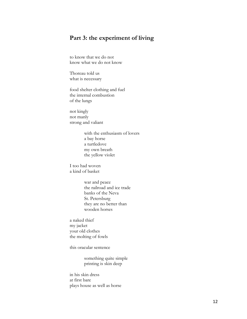# **Part 3: the experiment of living**

to know that we do not know what we do not know

Thoreau told us what is necessary

food shelter clothing and fuel the internal combustion of the lungs

not kingly not manly strong and valiant

> with the enthusiasm of lovers a bay horse a turtledove my own breath the yellow violet

I too had woven a kind of basket

> war and peace the railroad and ice trade banks of the Neva St. Petersburg they are no better than wooden horses

a naked thief my jacket your old clothes the molting of fowls

this oracular sentence

something quite simple printing is skin deep

in his skin dress at first bare plays house as well as horse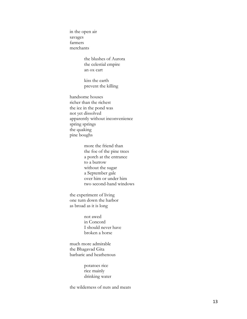in the open air savages farmers merchants

> the blushes of Aurora the celestial empire an ox cart

kiss the earth prevent the killing

handsome houses richer than the richest the ice in the pond was not yet dissolved apparently without inconvenience spring springs the quaking pine boughs

> more the friend than the foe of the pine trees a porch at the entrance to a burrow without the sugar a September gale over him or under him two second -hand windows

the experiment of living one turn down the harbor as broad as it is long

> not awed in Concord I should never have broken a horse

much more admirable the Bhagavad Gita barbaric and heathenous

> potatoes rice rice mainly drinking water

the wilderness of nuts and meats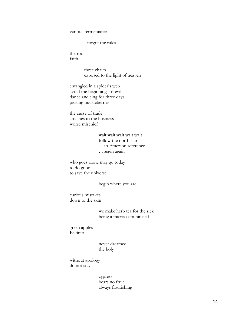various fermentations

I forgot the rules

the root faith

> three chairs exposed to the light of heaven

entangled in a spider's web avoid the beginnings of evil dance and sing for three days picking huckleberries

the curse of trade attaches to the business worse mischief

> wait wait wait wait wait follow the north star …an Emerson reference …begin again

who goes alone may go today to do good to save the universe

begin where you are

curious mistakes down to the skin

> we make herb tea for the sick being a microcosm himself

green apples Eskimo

> never dreamed the holy

without apology do not stay

> cypress bears no fruit always flourishing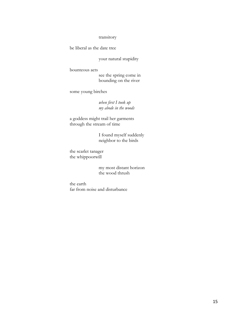## transitory

be liberal as the date tree

your natural stupidity

bounteous acts

see the spring come in bounding on the river

some young birches

*when first I took up my abode in the woods*

a goddess might trail her garments through the stream of time

> I found myself suddenly neighbor to the birds

the scarlet tanager the whippoorwill

> my most distant horizon the wood thrush

the earth far from noise and disturbance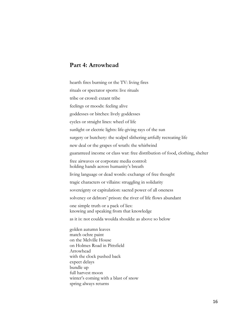## **Part 4: Arrowhead**

spring always returns

hearth fires burning or the TV: living fires rituals or spectator sports: live rituals tribe or crowd: extant tribe feelings or moods: feeling alive goddesses or bitches: lively goddesses cycles or straight lines: wheel of life sunlight or electric lights: life-giving rays of the sun surgery or butchery: the scalpel slithering artfully recreating life new deal or the grapes of wrath: the whirlwind guaranteed income or class war: free distribution of food, clothing, shelter free airwaves or corporate media control: holding hands across humanity's breath living language or dead words: exchange of free thought tragic characters or villains: struggling in solidarity sovereignty or capitulation: sacred power of all oneness solvency or debtors' prison: the river of life flows abundant one simple truth or a pack of lies: knowing and speaking from that knowledge as it is: not coulda woulda shoulda: as above so below golden autumn leaves match ochre paint on the Melville House on Holmes Road in Pittsfield Arrowhead with the clock pushed back expect delays bundle up full harvest moon winter's coming with a blast of snow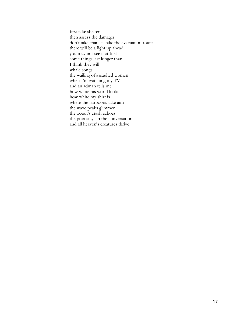first take shelter then assess the damages don't take chances take the evacuation route there will be a light up ahead you may not see it at first some things last longer than I think they will whale songs the wailing of assaulted women when I'm watching my TV and an adman tells me how white his world looks how white my shirt is where the harpoons take aim the wave peaks glimmer the ocean's crash echoes the poet stays in the conversation and all heaven's creatures thrive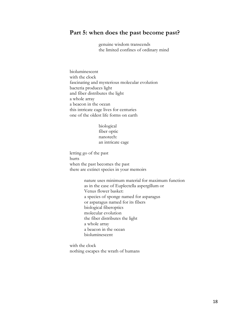## **Part 5: when does the past become past?**

genuine wisdom transcends the limited confines of ordinary mind

bioluminescent with the clock fascinating and mysterious molecular evolution bacteria produces light and fiber distributes the light a whole array a beacon in the ocean this intricate cage lives for centuries one of the oldest life forms on earth

> biological fiber optic nanotech: an intricate cage

letting go of the past hurts when the past becomes the past there are extinct species in your memoirs

> nature uses minimum material for maximum function as in the case of Euplectella aspergillum or Venus flower basket: a species of sponge named for asparagus or asparagus named for its fibers biological fiberoptics molecular evolution the fiber distributes the light a whole array a beacon in the ocean bioluminescent

with the clock nothing escapes the wrath of humans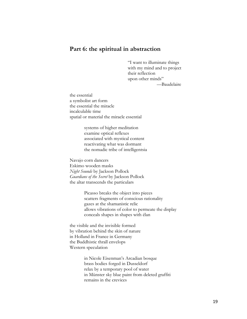# **Part 6: the spiritual in abstraction**

"I want to illuminate things with my mind and to project their reflection upon other minds" —Baudelaire

the essential a symbolist art form the essential the miracle incalculable time spatial or material the miracle essential

> systems of higher meditation examine optical reflexes associated with mystical content reactivating what was dormant the nomadic tribe of intelligentsia

Navajo corn dancers Eskimo wooden masks *Night Sounds* by Jackson Pollock *Guardians of the Secret* by Jackson Pollock the altar transcends the particulars

> Picasso breaks the object into pieces scatters fragments of conscious rationality gazes at the shamanistic relic allows vibrations of color to permeate the display conceals shapes in shapes with élan

the visible and the invisible formed by vibration behind the skin of nature in Holland in France in Germany the Buddhistic thrall envelops Western speculation

> in Nicole Eisenman's Arcadian bosque brass bodies forged in Dusseldorf relax by a temporary pool of water in Münster sky blue paint from deleted graffiti remains in the crevices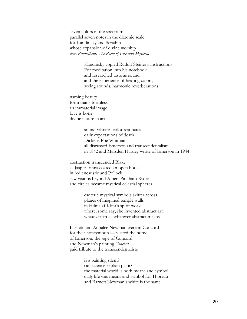seven colors in the spectrum parallel seven notes in the diatonic scale for Kandinsky and Scriabin whose expansion of divine worship was *Prometheus: The Poem of Fire and Mysteria*

> Kandinsky copied Rudolf Steiner's instructions For meditation into his notebook and researched taste as sound and the experience of hearing colors, seeing sounds, harmonic reverberations

naming beauty form that's formless an immaterial image love is born divine nature in art

> sound vibrates color resonates daily expectations of death Dickens Poe Whitman all discussed Emerson and transcendentalism in 1842 and Marsden Hartley wrote of Emerson in 1944

abstraction transcended Blake as Jasper Johns coated an open book in red encaustic and Pollock saw visions beyond Albert Pinkham Ryder and circles became mystical celestial spheres

> esoteric mystical symbols skitter across planes of imagined temple walls in Hilma af Klint's spirit world where, some say, she invented abstract art: whatever art is, whatever abstract means

Barnett and Annalee Newman were in Concord for their honeymoon — visited the home of Emerson: the sage of Concord and Newman's painting *Concord* paid tribute to the transcendentalists

> is a painting silent? can science explain paint? the material world is both means and symbol daily life was means and symbol for Thoreau and Barnett Newman's white is the same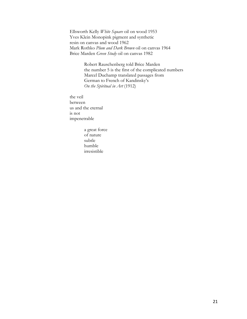Ellsworth Kelly *White Square* oil on wood 1953 Yves Klein Monopink pigment and synthetic resin on canvas and wood 1962 Mark Rothko *Plum and Dark Brown* oil on canvas 1964 Brice Marden *Green Study* oil on canvas 1982

> Robert Rauschenberg told Brice Marden the number 5 is the first of the complicated numbers Marcel Duchamp translated passages from German to French of Kandinsky's *On the Spiritual in Art* (1912)

the veil between us and the eternal is not impenetrable

> a great force of nature subtle humble irresistible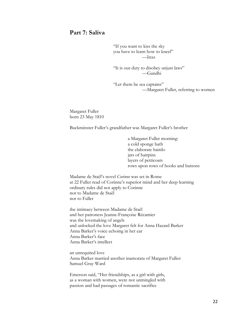# **Part 7: Saliva**

"If you want to kiss the sky you have to learn how to kneel" —Inxs

"It is our duty to disobey unjust laws" —Gandhi

"Let them be sea captains" —Margaret Fuller, referring to women

Margaret Fuller born 23 May 1810

Buckminster Fuller's grandfather was Margaret Fuller's brother

a Margaret Fuller morning: a cold sponge bath the elaborate hairdo jars of hairpins layers of petticoats rows upon rows of hooks and buttons

Madame de Staël's novel *Corinne* was set in Rome at 22 Fuller read of Corinne's superior mind and her deep learning ordinary rules did not apply to Corinne nor to Madame de Staël nor to Fuller

the intimacy between Madame de Staël and her patroness Jeanne-Françoise Récamier was the lovemaking of angels and unlocked the love Margaret felt for Anna Hazard Barker Anna Barker's voice echoing in her ear Anna Barker's face Anna Barker's intellect

an unrequited love Anna Barker married another inamorata of Margaret Fuller: Samuel Gray Ward

Emerson said, "Her friendships, as a girl with girls, as a woman with women, were not unmingled with passion and had passages of romantic sacrifice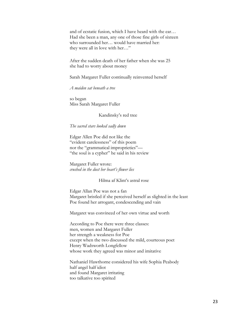and of ecstatic fusion, which I have heard with the ear… Had she been a man, any one of those fine girls of sixteen who surrounded her… would have married her: they were all in love with her…"

After the sudden death of her father when she was 25 she had to worry about money

Sarah Margaret Fuller continually reinvented herself

*A maiden sat beneath a tree*

so began Miss Sarah Margaret Fuller

Kandinsky's red tree

## *The sacred stars looked sadly down*

Edgar Allen Poe did not like the "evident carelessness" of this poem nor the "grammatical improprieties"— "the soul is a cypher" he said in his review

Margaret Fuller wrote: *crushed in the dust her heart's flower lies*

## Hilma af Klint's astral rose

Edgar Allan Poe was not a fan Margaret bristled if she perceived herself as slighted in the least Poe found her arrogant, condescending and vain

Margaret was convinced of her own virtue and worth

According to Poe there were three classes: men, women and Margaret Fuller her strength a weakness for Poe except when the two discussed the mild, courteous poet Henry Wadsworth Longfellow whose work they agreed was minor and imitative

Nathaniel Hawthorne considered his wife Sophia Peabody half angel half idiot and found Margaret irritating too talkative too spirited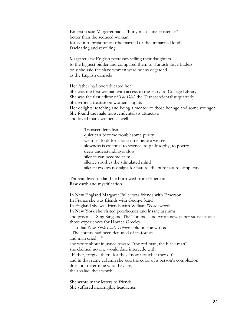Emerson said Margaret had a "burly masculine existence" better than the seduced woman forced into prostitution (the married or the unmarried kind) – fascinating and revolting

Margaret saw English peeresses selling their daughters to the highest bidder and compared them to Turkish slave traders only she said the slave women were not as degraded as the English damsels

Her father had overeducated her She was the first woman with access to the Harvard College Library She was the first editor of *The Dial*, the Transcendentalist quarterly She wrote a treatise on women's rights Her delights: teaching and being a mentor to those her age and some younger She found the male transcendentalists attractive and loved many women as well

Transcendentalism: quiet can become troublesome purity we must look for a long time before we see slowness is essential to science, to philosophy, to poetry deep understanding is slow silence can become calm silence soothes the stimulated mind silence evokes nostalgia for nature, the pure nature, simplicity

Thoreau lived on land he borrowed from Emerson Raw earth and mystification

In New England Margaret Fuller was friends with Emerson In France she was friends with George Sand In England she was friends with William Wordsworth In New York she visited poorhouses and insane asylums and prisons—Sing Sing and The Tombs—and wrote newspaper stories about those experiences for Horace Greeley —in that *New York Daily Tribune* column she wrote: "The county had been denuded of its forests, and man cried—" she wrote about injustice toward "the red man, the black man" she claimed no one would dare intercede with "Father, forgive them, for they know not what they do" and in that same column she said the color of a person's complexion does not determine who they are, their value, their worth

She wrote many letters to friends She suffered incorrigible headaches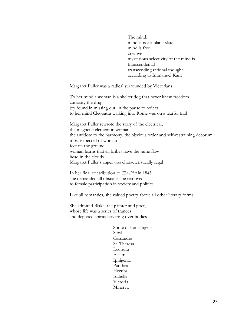The mind: mind is not a blank slate mind is free creative mysterious selectivity of the mind is transcendental transcending rational thought according to Immanuel Kant

Margaret Fuller was a radical surrounded by Victorians

To her mind a woman is a shelter dog that never knew freedom curiosity the drug joy found in missing out, in the pause to reflect to her mind Cleopatra walking into Rome was on a tearful trail

Margaret Fuller rewrote the story of the electrical, the magnetic element in woman the antidote to the harmony, the obvious order and self-restraining decorum most expected of woman feet on the ground woman learns that all bribes have the same flaw head in the clouds Margaret Fuller's anger was characteristically regal

In her final contribution to *The Dial* in 1843 she demanded all obstacles be removed to female participation in society and politics

Like all romantics, she valued poetry above all other literary forms

She admired Blake, the painter and poet, whose life was a series of trances and depicted spirits hovering over bodies

> Some of her subjects: Sibyl Cassandra St. Theresa Leonora Electra Iphigenia Panthea Hecuba Isabella Victoria Minerva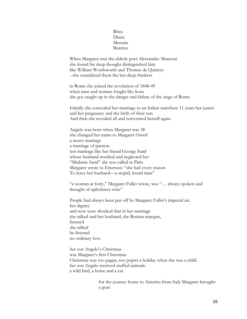## Rhea Diana Mecaria Beatrice

When Margaret met the elderly poet Alessandro Manzoni she found his deep thought distinguished him like William Wordsworth and Thomas de Quincey --she considered them the last deep thinkers

in Rome she joined the revolution of 1848-49 when men and women fought like lions she got caught up in the danger and failure of the siege of Rome

Initially she concealed her marriage to an Italian marchese 11 years her junior and her pregnancy and the birth of their son And then she revealed all and reinvented herself again

Angelo was born when Margaret was 38 she changed her name to Margaret Ossoli a secret marriage a marriage of passion not marriage like her friend George Sand whose husband insulted and neglected her "Madame Sand" she was called in Paris Margaret wrote to Emerson: "she had every reason To leave her husband—a stupid, brutal man"

"a woman at forty," Margaret Fuller wrote, was "… always spoken and thought of upholstery-wise"

People had always been put off by Margaret Fuller's imperial air, her dignity and now were shocked that in her marriage she talked and her husband, the Roman marquis, listened she talked he listened no ordinary love

her son Angelo's Christmas was Margaret's first Christmas Christmas was too pagan, too popist a holiday when she was a child her son Angelo received stuffed animals: a wild bird, a horse and a cat

> for the journey home to America from Italy Margaret brought: a goat